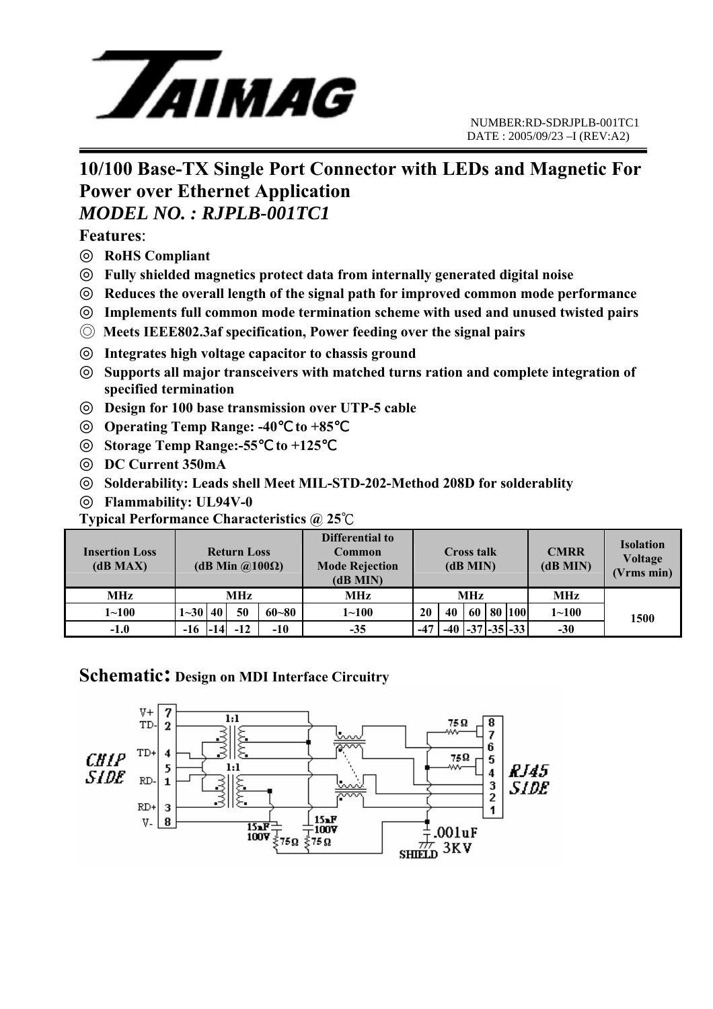

### **10/100 Base-TX Single Port Connector with LEDs and Magnetic For Power over Ethernet Application**  *MODEL NO. : RJPLB-001TC1*

**Features**:

**RoHS Compliant** 

- **Fully shielded magnetics protect data from internally generated digital noise Reduces the overall length of the signal path for improved common mode performance Implements full common mode termination scheme with used and unused twisted pairs**
- ◎ **Meets IEEE802.3af specification, Power feeding over the signal pairs**

**Integrates high voltage capacitor to chassis ground** 

**Supports all major transceivers with matched turns ration and complete integration of specified termination** 

**Design for 100 base transmission over UTP-5 cable** 

**Operating Temp Range: -40 to +85** 

**Storage Temp Range:-55**℃ **to +125** ℃

**DC Current 350mA** 

**Solderability: Leads shell Meet MIL-STD-202-Method 208D for solderablity Flammability: UL94V-0** 

**Typical Performance Characteristics @ 25**℃

| <b>Insertion Loss</b><br>(dB MAX) | <b>Return Loss</b><br>(dB Min $\omega(100\Omega)$ ) |  |       |           | Differential to<br>Common<br><b>Mode Rejection</b><br>(dB MIN) | <b>Cross talk</b><br>(dB MIN) |    |    |  | <b>CMRR</b><br>(dB MIN) | <b>Isolation</b><br><b>Voltage</b><br>(Vrms min) |      |
|-----------------------------------|-----------------------------------------------------|--|-------|-----------|----------------------------------------------------------------|-------------------------------|----|----|--|-------------------------|--------------------------------------------------|------|
| <b>MHz</b>                        | MHz                                                 |  |       |           | MHz                                                            | <b>MHz</b>                    |    |    |  |                         | <b>MHz</b>                                       |      |
| $1 \!\!\sim\!\! 100$              | $1 - 30$   40                                       |  | 50    | $60 - 80$ | $1 \!\!\sim\!\! 100$                                           | 20                            | 40 | 60 |  | 80 100                  | $1 - 100$                                        | 1500 |
| $-1.0$                            | -16                                                 |  | $-12$ | $-10$     | $-35$                                                          | $-47$                         |    |    |  | $-37$ $-35$ $-33$       | $-30$                                            |      |

#### **Schematic: Design on MDI Interface Circuitry**

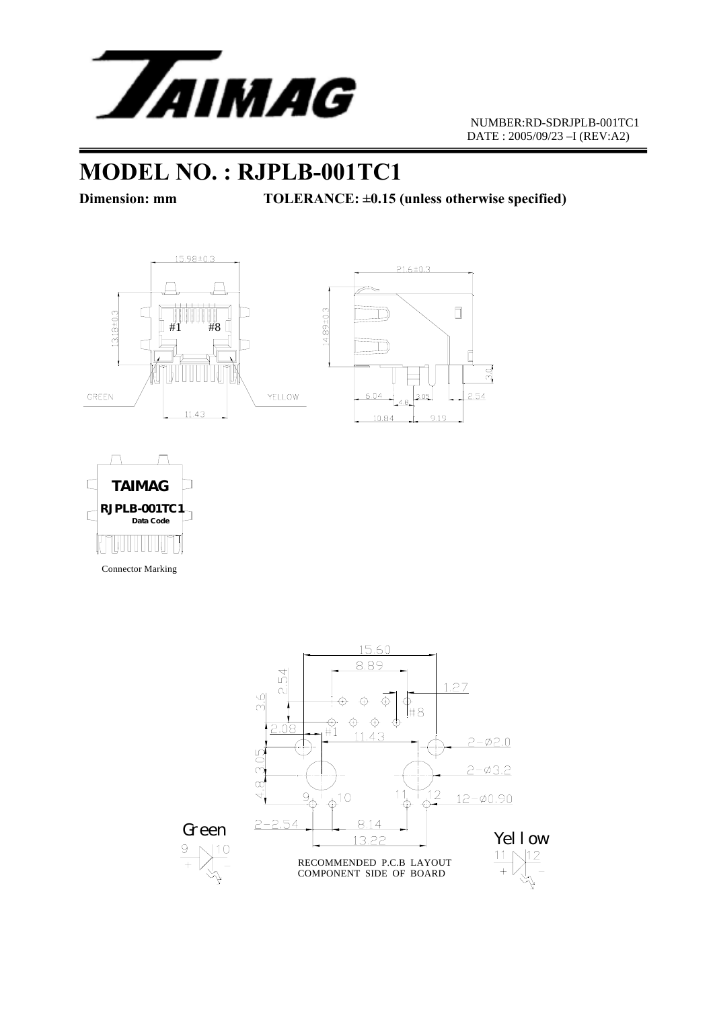

## **MODEL NO. : RJPLB-001TC1**

Dimension: mm TOLERANCE: ±0.15 (unless otherwise specified)







Connector Marking

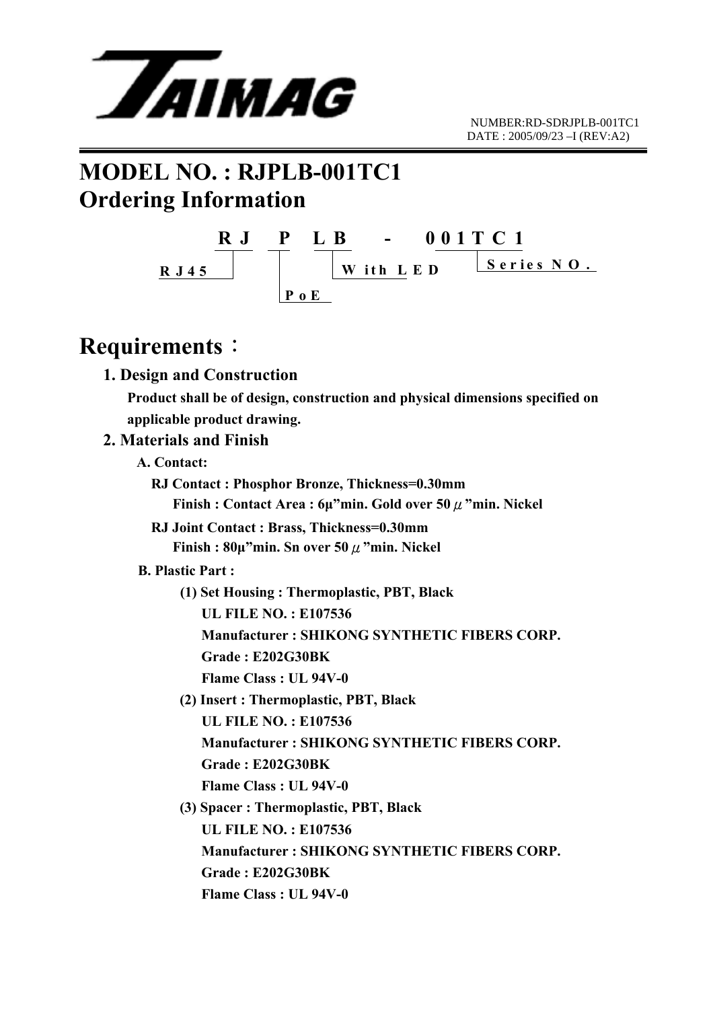

# **MODEL NO. : RJPLB-001TC1 Ordering Information**



### **Requirements**:

#### **1. Design and Construction**

 **Product shall be of design, construction and physical dimensions specified on applicable product drawing.** 

#### **2. Materials and Finish**

- **A. Contact:** 
	- **RJ Contact : Phosphor Bronze, Thickness=0.30mm Finish : Contact Area : 6µ"min. Gold over 50**μ**"min. Nickel**
	- **RJ Joint Contact : Brass, Thickness=0.30mm Finish : 80µ"min. Sn over 50**μ**"min. Nickel**

#### **B. Plastic Part :**

- **(1) Set Housing : Thermoplastic, PBT, Black** 
	- **UL FILE NO. : E107536**
	- **Manufacturer : SHIKONG SYNTHETIC FIBERS CORP.**
	- **Grade : E202G30BK**
	- **Flame Class : UL 94V-0**
- **(2) Insert : Thermoplastic, PBT, Black** 
	- **UL FILE NO. : E107536**
	- **Manufacturer : SHIKONG SYNTHETIC FIBERS CORP.**
	- **Grade : E202G30BK**
	- **Flame Class : UL 94V-0**
- **(3) Spacer : Thermoplastic, PBT, Black UL FILE NO. : E107536 Manufacturer : SHIKONG SYNTHETIC FIBERS CORP. Grade : E202G30BK Flame Class : UL 94V-0**